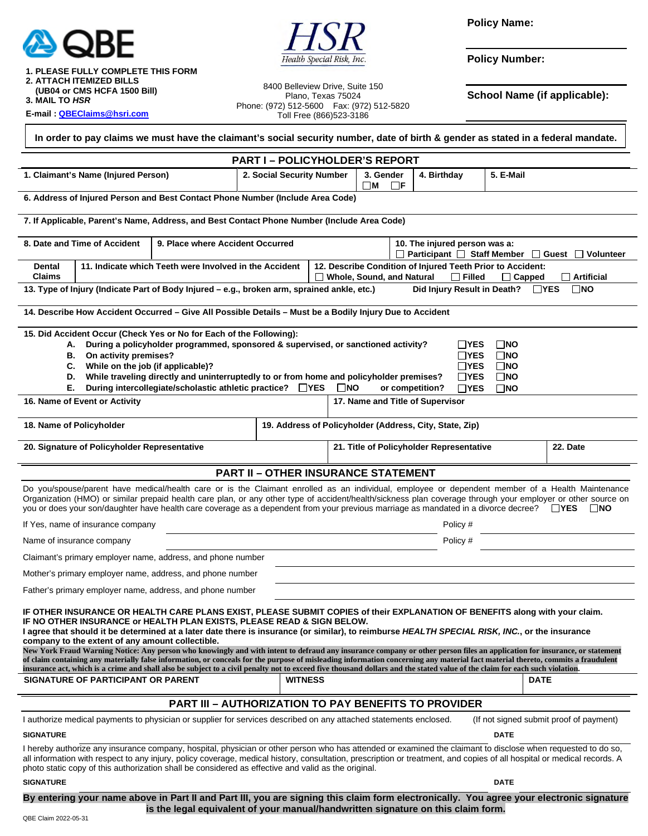

Health Special Risk, Inc.

**Policy Name:** 

**Policy Number:** 

 **1. PLEASE FULLY COMPLETE THIS FORM 2. ATTACH ITEMIZED BILLS** 

 **(UB04 or CMS HCFA 1500 Bill)** 

**3. MAIL TO** *HSR* 

**E-mail [: QBEClaims@hsri.com](mailto:QBEClaims@hsri.com)** 

8400 Belleview Drive, Suite 150 Plano, Texas 75024 Phone: (972) 512-5600 Fax: (972) 512-5820 Toll Free (866)523-3186

**School Name (if applicable):** 

| In order to pay claims we must have the claimant's social security number, date of birth & gender as stated in a federal mandate.                                                                                                                                                                                                                                                                                                                                                                                                                                                                                                                                                                                                                                                                                                                                                                                                                          |                |                                                                   |                                                                                                                                                  |                                          |             |                                         |  |
|------------------------------------------------------------------------------------------------------------------------------------------------------------------------------------------------------------------------------------------------------------------------------------------------------------------------------------------------------------------------------------------------------------------------------------------------------------------------------------------------------------------------------------------------------------------------------------------------------------------------------------------------------------------------------------------------------------------------------------------------------------------------------------------------------------------------------------------------------------------------------------------------------------------------------------------------------------|----------------|-------------------------------------------------------------------|--------------------------------------------------------------------------------------------------------------------------------------------------|------------------------------------------|-------------|-----------------------------------------|--|
| <b>PART I-POLICYHOLDER'S REPORT</b>                                                                                                                                                                                                                                                                                                                                                                                                                                                                                                                                                                                                                                                                                                                                                                                                                                                                                                                        |                |                                                                   |                                                                                                                                                  |                                          |             |                                         |  |
| 1. Claimant's Name (Injured Person)                                                                                                                                                                                                                                                                                                                                                                                                                                                                                                                                                                                                                                                                                                                                                                                                                                                                                                                        |                | 2. Social Security Number<br>3. Gender<br>$\square$ M<br>$\Box$ F |                                                                                                                                                  | 4. Birthday                              | 5. E-Mail   |                                         |  |
| 6. Address of Injured Person and Best Contact Phone Number (Include Area Code)                                                                                                                                                                                                                                                                                                                                                                                                                                                                                                                                                                                                                                                                                                                                                                                                                                                                             |                |                                                                   |                                                                                                                                                  |                                          |             |                                         |  |
| 7. If Applicable, Parent's Name, Address, and Best Contact Phone Number (Include Area Code)                                                                                                                                                                                                                                                                                                                                                                                                                                                                                                                                                                                                                                                                                                                                                                                                                                                                |                |                                                                   |                                                                                                                                                  |                                          |             |                                         |  |
| 8. Date and Time of Accident<br>9. Place where Accident Occurred                                                                                                                                                                                                                                                                                                                                                                                                                                                                                                                                                                                                                                                                                                                                                                                                                                                                                           |                |                                                                   | 10. The injured person was a:<br>□ Participant □ Staff Member □ Guest □ Volunteer                                                                |                                          |             |                                         |  |
| <b>Dental</b><br>11. Indicate which Teeth were Involved in the Accident<br>Claims                                                                                                                                                                                                                                                                                                                                                                                                                                                                                                                                                                                                                                                                                                                                                                                                                                                                          |                |                                                                   | 12. Describe Condition of Injured Teeth Prior to Accident:<br>□ Whole, Sound, and Natural<br>$\Box$ Filled<br>$\Box$ Artificial<br>$\Box$ Capped |                                          |             |                                         |  |
| Did Injury Result in Death?<br>$\Box$ YES<br>$\square$ NO<br>13. Type of Injury (Indicate Part of Body Injured – e.g., broken arm, sprained ankle, etc.)                                                                                                                                                                                                                                                                                                                                                                                                                                                                                                                                                                                                                                                                                                                                                                                                   |                |                                                                   |                                                                                                                                                  |                                          |             |                                         |  |
| 14. Describe How Accident Occurred - Give All Possible Details - Must be a Bodily Injury Due to Accident                                                                                                                                                                                                                                                                                                                                                                                                                                                                                                                                                                                                                                                                                                                                                                                                                                                   |                |                                                                   |                                                                                                                                                  |                                          |             |                                         |  |
| 15. Did Accident Occur (Check Yes or No for Each of the Following):<br>During a policyholder programmed, sponsored & supervised, or sanctioned activity?<br>$\Box$ NO<br>ΠYES<br>А.<br>On activity premises?<br>$\Box$ YES<br>$\square$ NO<br>В.<br>While on the job (if applicable)?<br>C.<br>$\Box$ YES<br>$\square$ NO<br>While traveling directly and uninterruptedly to or from home and policyholder premises?<br>$\square$ NO<br>$\sqcap$ YES<br>D.<br>During intercollegiate/scholastic athletic practice? □ YES<br>Е.<br>$\square$ NO<br>or competition?<br>$\Box$ YES<br>$\square$ NO<br>16. Name of Event or Activity<br>17. Name and Title of Supervisor                                                                                                                                                                                                                                                                                       |                |                                                                   |                                                                                                                                                  |                                          |             |                                         |  |
| 18. Name of Policyholder                                                                                                                                                                                                                                                                                                                                                                                                                                                                                                                                                                                                                                                                                                                                                                                                                                                                                                                                   |                | 19. Address of Policyholder (Address, City, State, Zip)           |                                                                                                                                                  |                                          |             |                                         |  |
| 20. Signature of Policyholder Representative                                                                                                                                                                                                                                                                                                                                                                                                                                                                                                                                                                                                                                                                                                                                                                                                                                                                                                               |                |                                                                   |                                                                                                                                                  | 21. Title of Policyholder Representative |             | 22. Date                                |  |
| <b>PART II - OTHER INSURANCE STATEMENT</b>                                                                                                                                                                                                                                                                                                                                                                                                                                                                                                                                                                                                                                                                                                                                                                                                                                                                                                                 |                |                                                                   |                                                                                                                                                  |                                          |             |                                         |  |
| Do you/spouse/parent have medical/health care or is the Claimant enrolled as an individual, employee or dependent member of a Health Maintenance<br>Organization (HMO) or similar prepaid health care plan, or any other type of accident/health/sickness plan coverage through your employer or other source on<br>you or does your son/daughter have health care coverage as a dependent from your previous marriage as mandated in a divorce decree?<br>∐YES∶<br>⊟NO                                                                                                                                                                                                                                                                                                                                                                                                                                                                                    |                |                                                                   |                                                                                                                                                  |                                          |             |                                         |  |
| If Yes, name of insurance company                                                                                                                                                                                                                                                                                                                                                                                                                                                                                                                                                                                                                                                                                                                                                                                                                                                                                                                          |                |                                                                   |                                                                                                                                                  | Policy #                                 |             |                                         |  |
| Name of insurance company                                                                                                                                                                                                                                                                                                                                                                                                                                                                                                                                                                                                                                                                                                                                                                                                                                                                                                                                  |                | Policy #                                                          |                                                                                                                                                  |                                          |             |                                         |  |
| Claimant's primary employer name, address, and phone number                                                                                                                                                                                                                                                                                                                                                                                                                                                                                                                                                                                                                                                                                                                                                                                                                                                                                                |                |                                                                   |                                                                                                                                                  |                                          |             |                                         |  |
| Mother's primary employer name, address, and phone number                                                                                                                                                                                                                                                                                                                                                                                                                                                                                                                                                                                                                                                                                                                                                                                                                                                                                                  |                |                                                                   |                                                                                                                                                  |                                          |             |                                         |  |
| Father's primary employer name, address, and phone number                                                                                                                                                                                                                                                                                                                                                                                                                                                                                                                                                                                                                                                                                                                                                                                                                                                                                                  |                |                                                                   |                                                                                                                                                  |                                          |             |                                         |  |
| IF OTHER INSURANCE OR HEALTH CARE PLANS EXIST, PLEASE SUBMIT COPIES of their EXPLANATION OF BENEFITS along with your claim.<br>IF NO OTHER INSURANCE or HEALTH PLAN EXISTS, PLEASE READ & SIGN BELOW.<br>I agree that should it be determined at a later date there is insurance (or similar), to reimburse HEALTH SPECIAL RISK, INC., or the insurance<br>company to the extent of any amount collectible.<br>New York Fraud Warning Notice: Any person who knowingly and with intent to defraud any insurance company or other person files an application for insurance, or statement<br>of claim containing any materially false information, or conceals for the purpose of misleading information concerning any material fact material thereto, commits a fraudulent<br>insurance act, which is a crime and shall also be subject to a civil penalty not to exceed five thousand dollars and the stated value of the claim for each such violation. |                |                                                                   |                                                                                                                                                  |                                          |             |                                         |  |
| <b>SIGNATURE OF PARTICIPANT OR PARENT</b>                                                                                                                                                                                                                                                                                                                                                                                                                                                                                                                                                                                                                                                                                                                                                                                                                                                                                                                  | <b>WITNESS</b> |                                                                   |                                                                                                                                                  |                                          | <b>DATE</b> |                                         |  |
| <b>PART III - AUTHORIZATION TO PAY BENEFITS TO PROVIDER</b>                                                                                                                                                                                                                                                                                                                                                                                                                                                                                                                                                                                                                                                                                                                                                                                                                                                                                                |                |                                                                   |                                                                                                                                                  |                                          |             |                                         |  |
| I authorize medical payments to physician or supplier for services described on any attached statements enclosed.                                                                                                                                                                                                                                                                                                                                                                                                                                                                                                                                                                                                                                                                                                                                                                                                                                          |                |                                                                   |                                                                                                                                                  |                                          |             | (If not signed submit proof of payment) |  |
| <b>SIGNATURE</b>                                                                                                                                                                                                                                                                                                                                                                                                                                                                                                                                                                                                                                                                                                                                                                                                                                                                                                                                           |                |                                                                   |                                                                                                                                                  |                                          | <b>DATE</b> |                                         |  |
| I hereby authorize any insurance company, hospital, physician or other person who has attended or examined the claimant to disclose when requested to do so,<br>all information with respect to any injury, policy coverage, medical history, consultation, prescription or treatment, and copies of all hospital or medical records. A<br>photo static copy of this authorization shall be considered as effective and valid as the original.                                                                                                                                                                                                                                                                                                                                                                                                                                                                                                             |                |                                                                   |                                                                                                                                                  |                                          |             |                                         |  |
| <b>SIGNATURE</b>                                                                                                                                                                                                                                                                                                                                                                                                                                                                                                                                                                                                                                                                                                                                                                                                                                                                                                                                           |                |                                                                   |                                                                                                                                                  | <b>DATE</b>                              |             |                                         |  |

**By entering your name above in Part II and Part III, you are signing this claim form electronically. You agree your electronic signature is the legal equivalent of your manual/handwritten signature on this claim form.**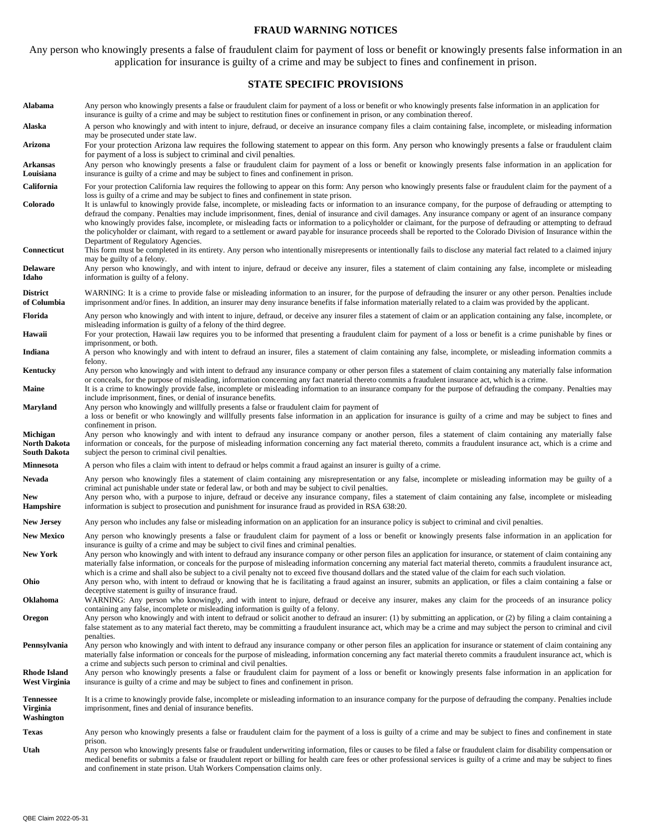#### **FRAUD WARNING NOTICES**

Any person who knowingly presents a false of fraudulent claim for payment of loss or benefit or knowingly presents false information in an application for insurance is guilty of a crime and may be subject to fines and confinement in prison.

#### **STATE SPECIFIC PROVISIONS**

**Alabama** Any person who knowingly presents a false or fraudulent claim for payment of a loss or benefit or who knowingly presents false information in an application for insurance is guilty of a crime and may be subject to restitution fines or confinement in prison, or any combination thereof.

**Alaska** A person who knowingly and with intent to injure, defraud, or deceive an insurance company files a claim containing false, incomplete, or misleading information may be prosecuted under state law.

**Arizona** For your protection Arizona law requires the following statement to appear on this form. Any person who knowingly presents a false or fraudulent claim for payment of a loss is subject to criminal and civil penalties.

**Arkansas Louisiana**  Any person who knowingly presents a false or fraudulent claim for payment of a loss or benefit or knowingly presents false information in an application for insurance is guilty of a crime and may be subject to fines and confinement in prison.

- **Colorado** It is unlawful to knowingly provide false, incomplete, or misleading facts or information to an insurance company, for the purpose of defrauding or attempting to defraud the company. Penalties may include imprisonment, fines, denial of insurance and civil damages. Any insurance company or agent of an insurance company who knowingly provides false, incomplete, or misleading facts or information to a policyholder or claimant, for the purpose of defrauding or attempting to defraud the policyholder or claimant, with regard to a settlement or award payable for insurance proceeds shall be reported to the Colorado Division of Insurance within the Department of Regulatory Agencies.
- **Connecticut** This form must be completed in its entirety. Any person who intentionally misrepresents or intentionally fails to disclose any material fact related to a claimed injury may be guilty of a felony.
- **Delaware Idaho**  Any person who knowingly, and with intent to injure, defraud or deceive any insurer, files a statement of claim containing any false, incomplete or misleading information is guilty of a felony.
- **District of Columbia**  WARNING: It is a crime to provide false or misleading information to an insurer, for the purpose of defrauding the insurer or any other person. Penalties include imprisonment and/or fines. In addition, an insurer may deny insurance benefits if false information materially related to a claim was provided by the applicant.
- **Florida** Any person who knowingly and with intent to injure, defraud, or deceive any insurer files a statement of claim or an application containing any false, incomplete, or misleading information is guilty of a felony of the third degree.
- Hawaii For your protection, Hawaii law requires you to be informed that presenting a fraudulent claim for payment of a loss or benefit is a crime punishable by fines or imprisonment, or both.

**Indiana** A person who knowingly and with intent to defraud an insurer, files a statement of claim containing any false, incomplete, or misleading information commits a felony.

- **Kentucky** Any person who knowingly and with intent to defraud any insurance company or other person files a statement of claim containing any materially false information or conceals, for the purpose of misleading, information concerning any fact material thereto commits a fraudulent insurance act, which is a crime.
- **Maine** It is a crime to knowingly provide false, incomplete or misleading information to an insurance company for the purpose of defrauding the company. Penalties may include imprisonment, fines, or denial of insurance benefits.
- **Maryland** Any person who knowingly and willfully presents a false or fraudulent claim for payment of

a loss or benefit or who knowingly and willfully presents false information in an application for insurance is guilty of a crime and may be subject to fines and confinement in prison.

**Michigan North Dakota South Dakota**  Any person who knowingly and with intent to defraud any insurance company or another person, files a statement of claim containing any materially false information or conceals, for the purpose of misleading information concerning any fact material thereto, commits a fraudulent insurance act, which is a crime and subject the person to criminal civil penalties.

- **Minnesota** A person who files a claim with intent to defraud or helps commit a fraud against an insurer is guilty of a crime.
- Nevada Any person who knowingly files a statement of claim containing any misrepresentation or any false, incomplete or misleading information may be guilty of a criminal act punishable under state or federal law, or both and may be subject to civil penalties.
- **New Hampshire**  Any person who, with a purpose to injure, defraud or deceive any insurance company, files a statement of claim containing any false, incomplete or misleading information is subject to prosecution and punishment for insurance fraud as provided in RSA 638:20.
- **New Jersey** Any person who includes any false or misleading information on an application for an insurance policy is subject to criminal and civil penalties.
- New Mexico Any person who knowingly presents a false or fraudulent claim for payment of a loss or benefit or knowingly presents false information in an application for insurance is guilty of a crime and may be subject to civil fines and criminal penalties.
- New York Any person who knowingly and with intent to defraud any insurance company or other person files an application for insurance, or statement of claim containing any materially false information, or conceals for the purpose of misleading information concerning any material fact material thereto, commits a fraudulent insurance act, which is a crime and shall also be subject to a civil penalty not to exceed five thousand dollars and the stated value of the claim for each such violation.
- **Ohio** Any person who, with intent to defraud or knowing that he is facilitating a fraud against an insurer, submits an application, or files a claim containing a false or deceptive statement is guilty of insurance fraud.

**Oklahoma** WARNING: Any person who knowingly, and with intent to injure, defraud or deceive any insurer, makes any claim for the proceeds of an insurance policy containing any false, incomplete or misleading information is guilty of a felony.

**Oregon** Any person who knowingly and with intent to defraud or solicit another to defraud an insurer: (1) by submitting an application, or (2) by filing a claim containing a false statement as to any material fact thereto, may be committing a fraudulent insurance act, which may be a crime and may subject the person to criminal and civil penalties.

Pennsylvania Any person who knowingly and with intent to defraud any insurance company or other person files an application for insurance or statement of claim containing any materially false information or conceals for the purpose of misleading, information concerning any fact material thereto commits a fraudulent insurance act, which is a crime and subjects such person to criminal and civil penalties.

**Rhode Island West Virginia**  Any person who knowingly presents a false or fraudulent claim for payment of a loss or benefit or knowingly presents false information in an application for insurance is guilty of a crime and may be subject to fines and confinement in prison.

**Tennessee Virginia**  It is a crime to knowingly provide false, incomplete or misleading information to an insurance company for the purpose of defrauding the company. Penalties include imprisonment, fines and denial of insurance benefits.

**Washington** 

Texas Any person who knowingly presents a false or fraudulent claim for the payment of a loss is guilty of a crime and may be subject to fines and confinement in state prison.

**Utah** Any person who knowingly presents false or fraudulent underwriting information, files or causes to be filed a false or fraudulent claim for disability compensation or medical benefits or submits a false or fraudulent report or billing for health care fees or other professional services is guilty of a crime and may be subject to fines and confinement in state prison. Utah Workers Compensation claims only.

California For your protection California law requires the following to appear on this form: Any person who knowingly presents false or fraudulent claim for the payment of a loss is guilty of a crime and may be subject to fines and confinement in state prison.